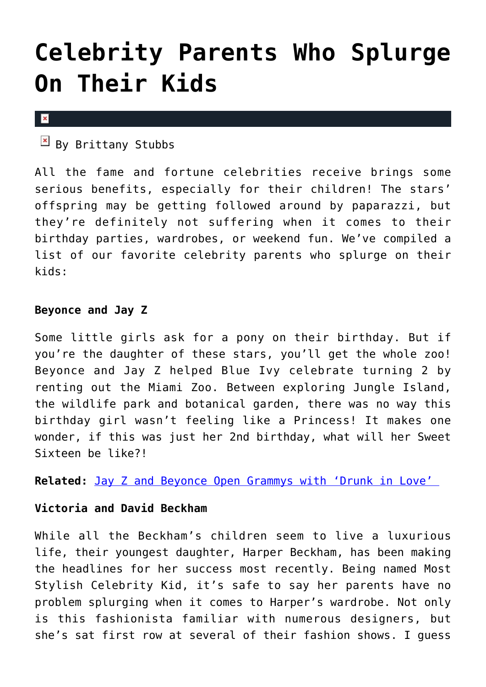# **[Celebrity Parents Who Splurge](https://cupidspulse.com/72969/celebrity-parents-splurge-on-kids/) [On Their Kids](https://cupidspulse.com/72969/celebrity-parents-splurge-on-kids/)**

#### $\pmb{\times}$

 $\boxed{\times}$  By Brittany Stubbs

All the fame and fortune celebrities receive brings some serious benefits, especially for their children! The stars' offspring may be getting followed around by paparazzi, but they're definitely not suffering when it comes to their birthday parties, wardrobes, or weekend fun. We've compiled a list of our favorite celebrity parents who splurge on their kids:

### **Beyonce and Jay Z**

Some little girls ask for a pony on their birthday. But if you're the daughter of these stars, you'll get the whole zoo! Beyonce and Jay Z helped Blue Ivy celebrate turning 2 by renting out the Miami Zoo. Between exploring Jungle Island, the wildlife park and botanical garden, there was no way this birthday girl wasn't feeling like a Princess! It makes one wonder, if this was just her 2nd birthday, what will her Sweet Sixteen be like?!

**Related:** [Jay Z and Beyonce Open Grammys with 'Drunk in Love'](http://cupidspulse.com/jay-z-and-beyonce-open-grammys-with-drunk-in-love-performance/) 

#### **Victoria and David Beckham**

While all the Beckham's children seem to live a luxurious life, their youngest daughter, Harper Beckham, has been making the headlines for her success most recently. Being named Most Stylish Celebrity Kid, it's safe to say her parents have no problem splurging when it comes to Harper's wardrobe. Not only is this fashionista familiar with numerous designers, but she's sat first row at several of their fashion shows. I guess